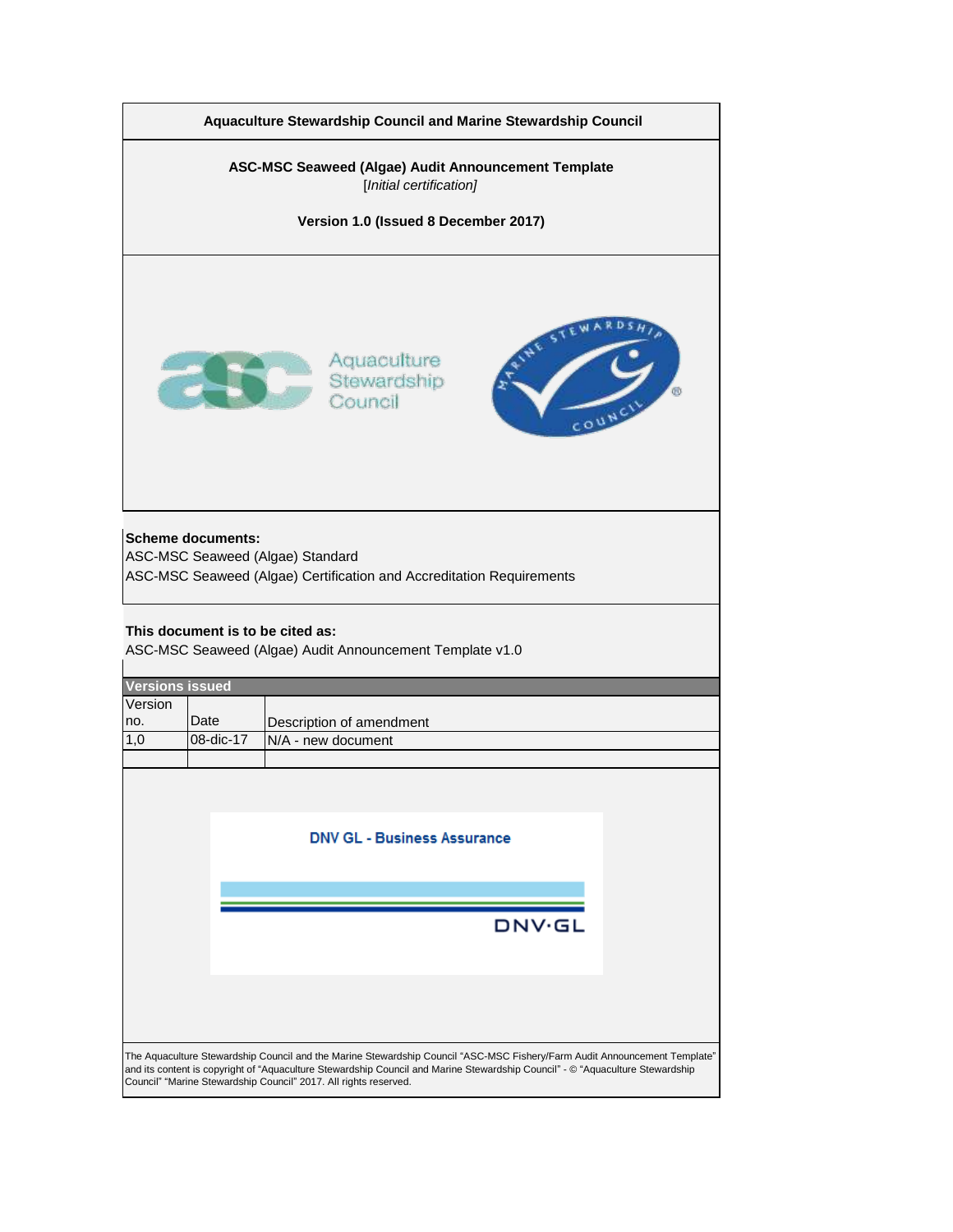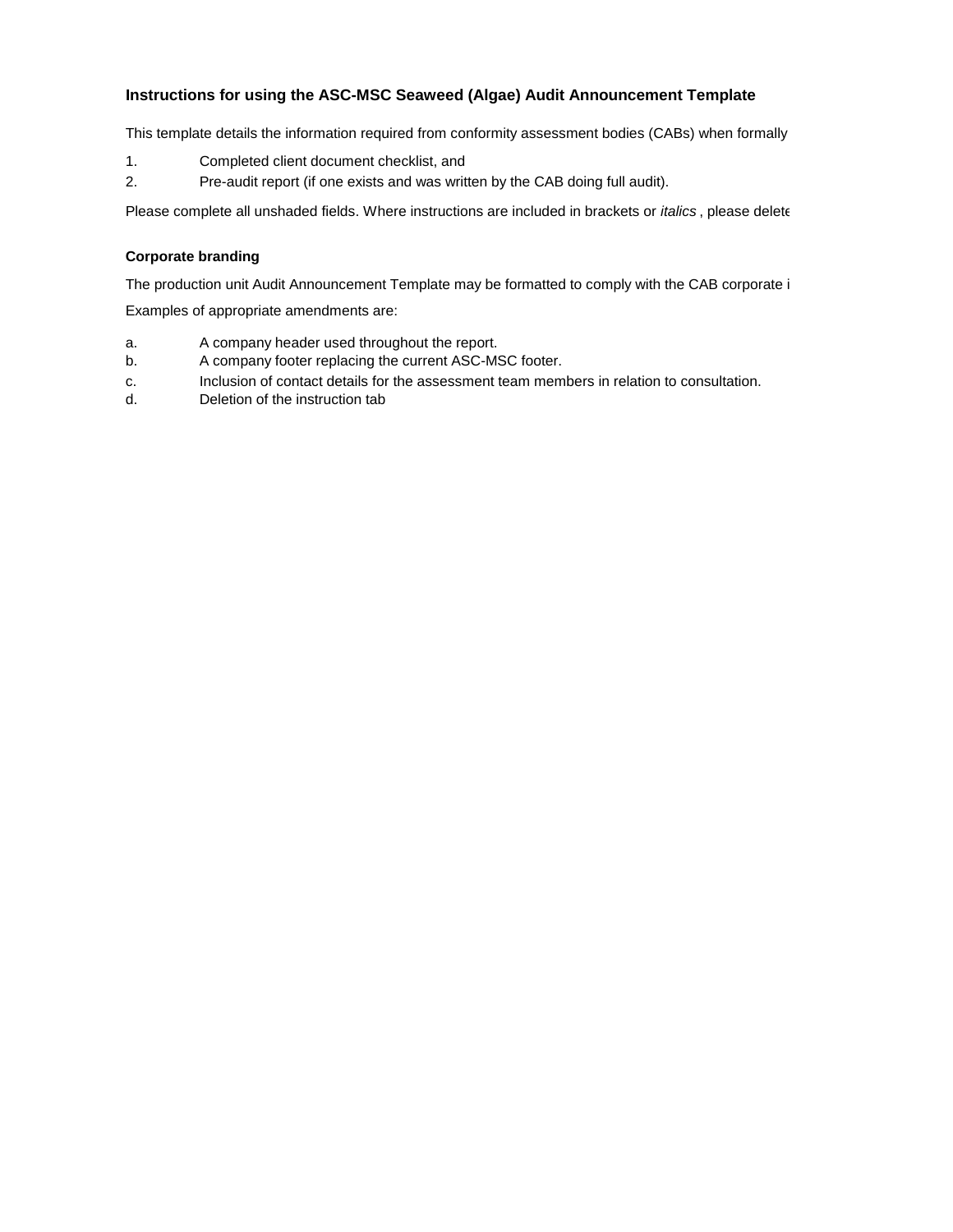# **Instructions for using the ASC-MSC Seaweed (Algae) Audit Announcement Template**

This template details the information required from conformity assessment bodies (CABs) when formally

- 1. Completed client document checklist, and
- 2. Pre-audit report (if one exists and was written by the CAB doing full audit).

Please complete all unshaded fields. Where instructions are included in brackets or *italics*, please delete

## **Corporate branding**

The production unit Audit Announcement Template may be formatted to comply with the CAB corporate i Examples of appropriate amendments are:

- a. A company header used throughout the report.
- b. A company footer replacing the current ASC-MSC footer.
- c. Inclusion of contact details for the assessment team members in relation to consultation.
- d. Deletion of the instruction tab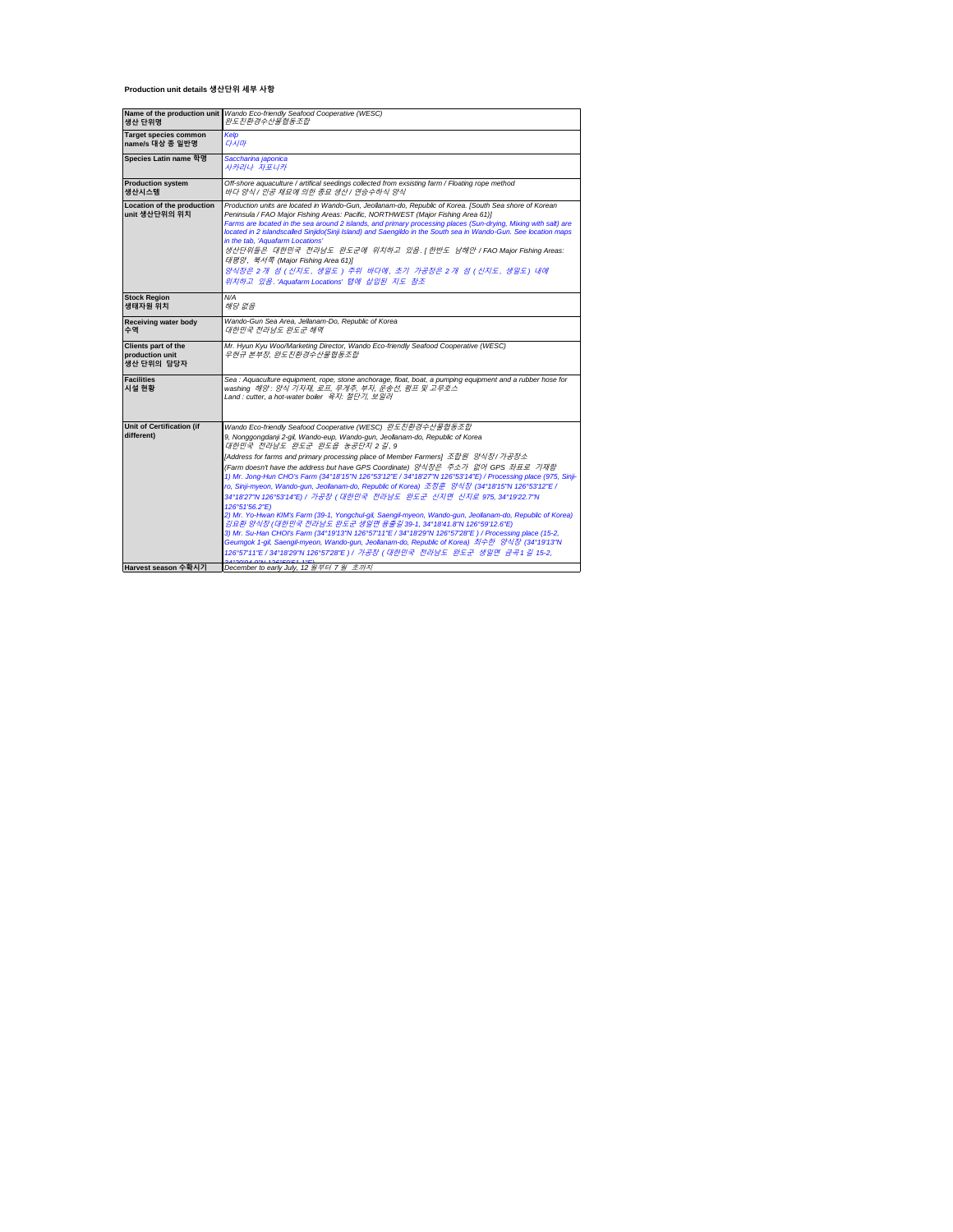**Production unit details 생산단위 세부 사항**

| 생산 단위명                                               | Name of the production unit Wando Eco-friendly Seafood Cooperative (WESC)<br>완도친환경수산물협동조합                                                                                                                                                                                                                                                                                                                                                                                                                                                                                                                                                                                                                                                                                                                                                                                                                                                                                                                                                                                                                                                   |  |  |
|------------------------------------------------------|---------------------------------------------------------------------------------------------------------------------------------------------------------------------------------------------------------------------------------------------------------------------------------------------------------------------------------------------------------------------------------------------------------------------------------------------------------------------------------------------------------------------------------------------------------------------------------------------------------------------------------------------------------------------------------------------------------------------------------------------------------------------------------------------------------------------------------------------------------------------------------------------------------------------------------------------------------------------------------------------------------------------------------------------------------------------------------------------------------------------------------------------|--|--|
| <b>Target species common</b><br>name/s 대상 종 일반명      | Kelp<br>다시마                                                                                                                                                                                                                                                                                                                                                                                                                                                                                                                                                                                                                                                                                                                                                                                                                                                                                                                                                                                                                                                                                                                                 |  |  |
| Species Latin name 학명                                | Saccharina japonica<br>사카리나 자포니카                                                                                                                                                                                                                                                                                                                                                                                                                                                                                                                                                                                                                                                                                                                                                                                                                                                                                                                                                                                                                                                                                                            |  |  |
| <b>Production system</b><br>생산시스템                    | Off-shore aquaculture / artifical seedings collected from exsisting farm / Floating rope method<br>바다 양식 / 인공 채묘에 의한 종묘 생산 / 연승수하식 양식                                                                                                                                                                                                                                                                                                                                                                                                                                                                                                                                                                                                                                                                                                                                                                                                                                                                                                                                                                                                       |  |  |
| Location of the production<br>unit 생산단위의 위치          | Production units are located in Wando-Gun, Jeollanam-do, Republic of Korea. [South Sea shore of Korean<br>Peninsula / FAO Major Fishing Areas: Pacific, NORTHWEST (Major Fishing Area 61)]<br>Farms are located in the sea around 2 islands, and primary processing places (Sun-drying, Mixing with salt) are<br>located in 2 islandscalled Sinjido(Sinji Island) and Saengildo in the South sea in Wando-Gun. See location maps<br>in the tab, 'Aquafarm Locations'<br>생산단위들은 대한민국 전라남도 완도군에 위치하고 있음.[한반도 남해안 / FAO Major Fishing Areas:<br>태평양, 북서쪽 (Major Fishing Area 61)]<br>양식장은 2개 섬 (신지도, 생일도 ) 주위 바다에, 초기 가공장은 2개 섬 (신지도, 생일도) 내에<br>위치하고 있음. 'Aquafarm Locations' 탭에 삽입된 지도 참조                                                                                                                                                                                                                                                                                                                                                                                                                                                    |  |  |
| <b>Stock Region</b><br>생태자원 위치                       | N/A<br>해당 없음                                                                                                                                                                                                                                                                                                                                                                                                                                                                                                                                                                                                                                                                                                                                                                                                                                                                                                                                                                                                                                                                                                                                |  |  |
| Receiving water body<br>수역                           | Wando-Gun Sea Area, Jellanam-Do, Republic of Korea<br>대한민국 전라남도 완도군 해역                                                                                                                                                                                                                                                                                                                                                                                                                                                                                                                                                                                                                                                                                                                                                                                                                                                                                                                                                                                                                                                                      |  |  |
| Clients part of the<br>production unit<br>생산 단위의 담당자 | Mr. Hyun Kyu Woo/Marketing Director, Wando Eco-friendly Seafood Cooperative (WESC)<br>우현규 본부장. 완도친환경수산물협동조합                                                                                                                                                                                                                                                                                                                                                                                                                                                                                                                                                                                                                                                                                                                                                                                                                                                                                                                                                                                                                                 |  |  |
| <b>Facilities</b><br>시설 현황                           | Sea : Aquaculture equipment, rope, stone anchorage, float, boat, a pumping equipment and a rubber hose for<br>washing 해양 : 양식 기자재, 로프, 무게추, 부자, 운송선, 펌프 및 고무호스<br>Land : cutter, a hot-water boiler 육자: 절단기, 보일러                                                                                                                                                                                                                                                                                                                                                                                                                                                                                                                                                                                                                                                                                                                                                                                                                                                                                                                            |  |  |
| <b>Unit of Certification (if</b><br>different)       | Wando Eco-friendly Seafood Cooperative (WESC) 완도친환경수산물협동조합<br>9, Nonggongdanji 2-gil, Wando-eup, Wando-gun, Jeollanam-do, Republic of Korea<br>대한민국 전라남도 완도군 완도읍 농공단지 2 길. 9<br>[Address for farms and primary processing place of Member Farmers] 조합원 양식장/가공장소<br>(Farm doesn't have the address but have GPS Coordinate) 양식장은 주소가 없어 GPS 좌표로 기재함<br>1) Mr. Jong-Hun CHO's Farm (34°18'15"N 126°53'12"E / 34°18'27"N 126°53'14"E) / Processing place (975, Sinji-<br>ro, Sinji-myeon, Wando-gun, Jeollanam-do, Republic of Korea) 조정훈 양식장 (34°18'15"N 126°53'12"E /<br>34°18'27"N 126°53'14"E) / 가공장 (대한민국 전라남도 완도군 신지면 신지로 975, 34°19'22.7"N<br>126°51'56.2"E)<br>2) Mr. Yo-Hwan KIM's Farm (39-1, Yongchul-gil, Saengil-myeon, Wando-gun, Jeollanam-do, Republic of Korea)<br>김요환 양식장 (대한민국 전라남도 완도군 생일면 용출길 39-1, 34°18'41.8"N 126°59'12.6"E)<br>3) Mr. Su-Han CHOI's Farm (34°19'13"N 126°57'11"E / 34°18'29"N 126°57'28"E) / Processing place (15-2,<br>Geumgok 1-gil, Saengil-myeon, Wando-gun, Jeollanam-do, Republic of Korea) 최수한 양식장 (34°19'13"N<br>126°57'11"E / 34°18'29"N 126°57'28"E ) / 가공장 ( 대한민국 전라남도 완도군 생일면 금곡1 길 15-2. |  |  |
| Harvest season 수확시기                                  | December to early July, 12 월부터 7 월 초까지                                                                                                                                                                                                                                                                                                                                                                                                                                                                                                                                                                                                                                                                                                                                                                                                                                                                                                                                                                                                                                                                                                      |  |  |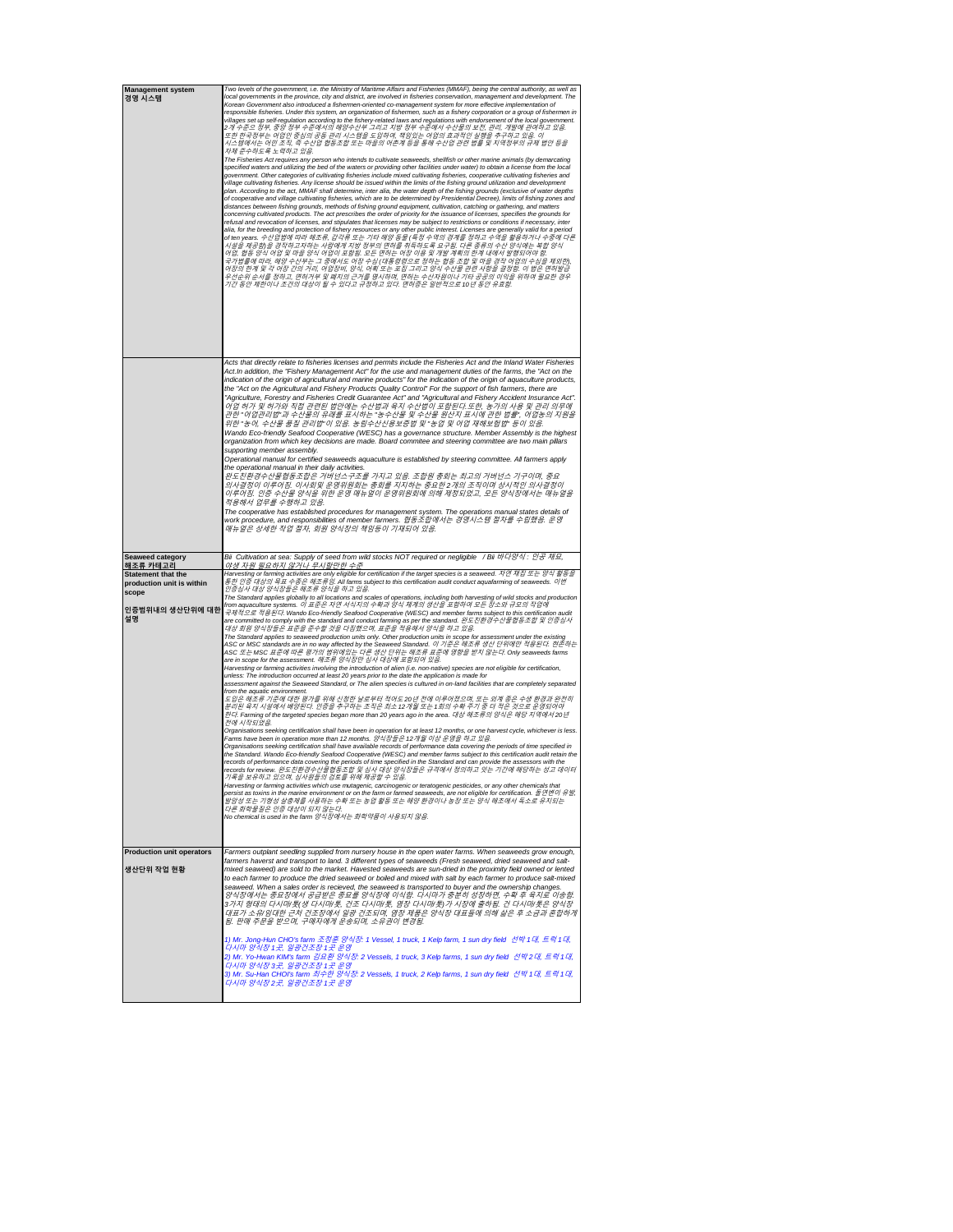| <b>Management system</b><br>경영 시스템                          | Two levels of the government, i.e. the Ministry of Maritime Affairs and Fisheries (MMAF), being the central authority, as well as<br>local governments in the province, city and district, are involved in fisheries conservation, management and development. The<br>Korean Government also introduced a fishermen-oriented co-management system for more effective implementation of<br>responsible fisheries. Under this system, an organization of fishermen, such as a fishery corporation or a group of fishermen in<br>villages set up self-regulation according to the fishery-related laws and regulations with endorsement of the local government.<br>2개 수준으 정부, 중앙 정부 수준에서의 해양수산부 그리고 지방 정부 수준에서 수산물의 보전, 관리, 개발에 관여하고 있음.<br>또한 한국정부는 어업인 중심의 공동 관리 시스템을 도입하여, 책임있는 어업의 효과적인 실행을 추구하고 있음. 이<br>시스템에서는 어민 조직, 즉 수산업 협동조합 또는 마을의 어촌계 등을 통해 수산업 관련 법률 및 지역정부의 규제 법안 등을<br>자체 준수하도록 노력하고 있음.<br>The Fisheries Act requires any person who intends to cultivate seaweeds, shellfish or other marine animals (by demarcating<br>specified waters and utilizing the bed of the waters or providing other facilities under water) to obtain a license from the local<br>government. Other categories of cultivating fisheries include mixed cultivating fisheries, cooperative cultivating fisheries and<br>village cultivating fisheries. Any license should be issued within the limits of the fishing ground utilization and development<br>plan. According to the act, MMAF shall determine, inter alia, the water depth of the fishing grounds (exclusive of water depths<br>of cooperative and village cultivating fisheries, which are to be determined by Presidential Decree), limits of fishing zones and<br>distances between fishing grounds, methods of fishing ground equipment, cultivation, catching or gathering, and matters<br>concerning cultivated products. The act prescribes the order of priority for the issuance of licenses, specifies the grounds for<br>refusal and revocation of licenses, and stipulates that licenses may be subject to restrictions or conditions if necessary, inter<br>alia, for the breeding and protection of fishery resources or any other public interest. Licenses are generally valid for a period<br>of ten years. 수산업법에 따라 해조류, 갑각류 또는 기타 해양 동물 (특정 수역의 경계를 정하고 수학을 활용하거나 수중에 다른<br>시설을 제공함)을 경작하고자하는 사람에게 지방 정부의 면허를 취득하도록 요구됨. 다른 종류의 수산 양식에는 복합 양식<br>어업, 협동 양식 어업 및 마을 양식 어업이 포함됨. 모든 면허는 어장 이용 및 개발 계획의 한계 내에서 발행되어야 함.<br>국가법률에 따라, 해양 수산부는 그 중에서도 어장 수심 (대통령령으로 정하는 협동 조합 및 마을 경작 어업의 수심을 제외한),<br>어장의 한계 및 각 어장 간의 거리, 어업장비, 양식, 어획 또는 포집 그리고 양식 수산물 관련 사항을 결정함. 이 법은 면허발급<br>우선순위 순서를 정하고, 면허거부 및 폐지의 근거를 명시하며, 면허는 수산자원이나 기타 공공의 이익을 위하여 필요한 경우<br>기간 동안 제한이나 조건의 대상이 될 수 있다고 규정하고 있다. 면허증은 일반적으로 10년 동안 유효함. |
|-------------------------------------------------------------|-------------------------------------------------------------------------------------------------------------------------------------------------------------------------------------------------------------------------------------------------------------------------------------------------------------------------------------------------------------------------------------------------------------------------------------------------------------------------------------------------------------------------------------------------------------------------------------------------------------------------------------------------------------------------------------------------------------------------------------------------------------------------------------------------------------------------------------------------------------------------------------------------------------------------------------------------------------------------------------------------------------------------------------------------------------------------------------------------------------------------------------------------------------------------------------------------------------------------------------------------------------------------------------------------------------------------------------------------------------------------------------------------------------------------------------------------------------------------------------------------------------------------------------------------------------------------------------------------------------------------------------------------------------------------------------------------------------------------------------------------------------------------------------------------------------------------------------------------------------------------------------------------------------------------------------------------------------------------------------------------------------------------------------------------------------------------------------------------------------------------------------------------------------------------------------------------------------------------------------------------------------------------------------------------------------------------------------------------------------------------------------------------------------------------------------------------------------------------------------------------------------------------------------------------------------------------------------------------------------------------------------------------------------------------------------------------------------------------------------------------------------------------------------------|
|                                                             | Acts that directly relate to fisheries licenses and permits include the Fisheries Act and the Inland Water Fisheries<br>Act. In addition, the "Fishery Management Act" for the use and management duties of the farms, the "Act on the<br>indication of the origin of agricultural and marine products" for the indication of the origin of aquaculture products,<br>the "Act on the Agricultural and Fishery Products Quality Control" For the support of fish farmers, there are<br>"Agriculture, Forestry and Fisheries Credit Guarantee Act" and "Agricultural and Fishery Accident Insurance Act".<br>어업 허가 및 허가와 직접 관련된 법안에는 수산법과 육지 수산법이 포함된다.또한, 농가의 사용 및 관리 의무에<br>관한 "어업관리법"과 수산물의 유래를 표시하는 "농수산물 및 수산물 원산지 표시에 관한 법률", 어업농의 지원을<br>위한 "농어, 수산물 품질 관리법"이 있음. 농림수산신용보증법 및 "농업 및 어업 재해보험법" 등이 있음.<br>Wando Eco-friendly Seafood Cooperative (WESC) has a governance structure. Member Assembly is the highest<br>organization from which key decisions are made. Board commitee and steering committee are two main pillars<br>supporting member assembly.<br>Operational manual for certified seaweeds aquaculture is established by steering committee. All farmers apply<br>the operational manual in their daily activities.<br>완도친환경수산물협동조합은 거버넌스구조를 가지고 있음. 조합원 총회는 최고의 거버넌스 기구이며, 중요<br>의사결정이 이루어짐. 이사회및 운영위원회는 총회를 지지하는 중요한 2개의 조직이며 상시적인 의사결정이<br>이루어짐. 인증 수산물 양식을 위한 운영 매뉴얼이 운영위원회에 의해 제정되었고, 모든 양식장에서는 매뉴얼을<br>적용해서 업무를 수행하고 있음.<br>The cooperative has established procedures for management system. The operations manual states details of<br>work procedure, and responsibilities of member farmers. 협동조합에서는 경영시스템 절차를 수립했음. 운영<br>매뉴얼은 상세한 작업 절차. 회원 양식장의 책임등이 기재되어 있음.                                                                                                                                                                                                                                                                                                                                                                                                                                                                                                                                                                                                                                                                                                                                                                                                                                                                                                                                                                                                                                                                                           |
| Seaweed category                                            | Bii Cultivation at sea: Supply of seed from wild stocks NOT required or negligible / Bii 바다양식 : 인공 채묘,                                                                                                                                                                                                                                                                                                                                                                                                                                                                                                                                                                                                                                                                                                                                                                                                                                                                                                                                                                                                                                                                                                                                                                                                                                                                                                                                                                                                                                                                                                                                                                                                                                                                                                                                                                                                                                                                                                                                                                                                                                                                                                                                                                                                                                                                                                                                                                                                                                                                                                                                                                                                                                                                                    |
| 해조류 카테고리<br><b>Statement that the</b>                       | 야생 자원 필요하지 않거나 무시할만한 수권<br>Harvesting or farming activities are only eligible for certification if the target species is a seaweed. 자연 채집 또는 양식 활동을                                                                                                                                                                                                                                                                                                                                                                                                                                                                                                                                                                                                                                                                                                                                                                                                                                                                                                                                                                                                                                                                                                                                                                                                                                                                                                                                                                                                                                                                                                                                                                                                                                                                                                                                                                                                                                                                                                                                                                                                                                                                                                                                                                                                                                                                                                                                                                                                                                                                                                                                                                                                                                       |
| production unit is within<br>scope<br>인증범위내의 생산단위에 대한<br>설명 | 통한 인증 대상의 목표 수종은 해조류임. All farms subject to this certification audit conduct aquafarming of seaweeds. 이번<br>인증심사 대상 양식장들은 해조류 양식을 하고 있음.<br>The Standard applies globally to all locations and scales of operations, including both harvesting of wild stocks and production<br>from aquaculture systems. 이 표준은 자연 서식지의 수확과 양식 체계의 생산을 포함하여 모든 장소와 규모의 작업에<br>국제적으로 적용된다. Wando Eco-friendly Seafood Cooperative (WESC) and member farms subject to this certification audit<br>are committed to comply with the standard and conduct farming as per the standard. 완도친환경수산물협동조합 및 인증심사<br>대상 회원 양식장들은 표준을 준수할 것을 다짐했으며, 표준을 적용해서 양식을 하고 있음.<br>The Standard applies to seaweed production units only. Other production units in scope for assessment under the existing<br>ASC or MSC standards are in no way affected by the Seaweed Standard. 이 기준은 해조류 생산 단위에만 적용된다. 현존하는<br>ASC 또는 MSC 표준에 따른 평가의 범위에있는 다른 생산 단위는 해조류 표준에 영향을 받지 않는다. Only seaweeds farms<br>are in scope for the assessment. 해조류 양식장만 심사 대상에 포함되어 있음.<br>Harvesting or farming activities involving the introduction of alien (i.e. non-native) species are not eligible for certification,<br>unless: The introduction occurred at least 20 years prior to the date the application is made for<br>assessment against the Seaweed Standard, or The alien species is cultured in on-land facilities that are completely separated<br>from the aquatic environment<br>도입은 해조류 기준에 대한 평가를 위해 신청한 날로부터 적어도 20년 전에 이루어졌으며, 또는 외계 종은 수생 환경과 완전히<br>분리된 육지 시설에서 배양된다. 인증을 추구하는 조직은 최소 12개월 또는 1회의 수확 주기 중 더 적은 것으로 운영되어야<br>한다. Farming of the targeted species began more than 20 years ago in the area. 대상 해조류의 양식은 해당 지역에서 20년<br>전에 시작되었음.<br>Organisations seeking certification shall have been in operation for at least 12 months, or one harvest cycle, whichever is less.<br>Farms have been in operation more than 12 months. 양식장들은 12개월 이상 운영을 하고 있음.<br>Organisations seeking certification shall have available records of performance data covering the periods of time specified in<br>the Standard. Wando Eco-friendly Seafood Cooperative (WESC) and member farms subject to this certification audit retain the<br>records of performance data covering the periods of time specified in the Standard and can provide the assessors with the<br>Harvesting or farming activities which use mutagenic, carcinogenic or teratogenic pesticides, or any other chemicals that<br>persist as toxins in the marine environment or on the farm or farmed seaweeds, are not eligible for certification. <i>돌연변이 유발</i> ,<br>발암성 또는 기형성 살충제를 사용하는 수확 또는 농업 활동 또는 해양 환경이나 농장 또는 양식 해초에서 독소로 유지되는<br>다른 화학물질은 인증 대상이 되지 않는다.<br>No chemical is used in the farm 양식장에서는 화학약품이 사용되지 않음.                              |
| <b>Production unit operators</b>                            | Farmers outplant seedling supplied from nursery house in the open water farms. When seaweeds grow enough,                                                                                                                                                                                                                                                                                                                                                                                                                                                                                                                                                                                                                                                                                                                                                                                                                                                                                                                                                                                                                                                                                                                                                                                                                                                                                                                                                                                                                                                                                                                                                                                                                                                                                                                                                                                                                                                                                                                                                                                                                                                                                                                                                                                                                                                                                                                                                                                                                                                                                                                                                                                                                                                                                 |
| 생산단위 작업 현황                                                  | farmers haverst and transport to land. 3 different types of seaweeds (Fresh seaweed, dried seaweed and salt-<br>mixed seaweed) are sold to the market. Havested seaweeds are sun-dried in the proximity field owned or lented<br>to each farmer to produce the dried seaweed or boiled and mixed with salt by each farmer to produce salt-mixed<br>seaweed. When a sales order is recieved, the seaweed is transported to buyer and the ownership changes.<br>SSAIS AT A SERIOR A BILIC SELE BABOL O ABLIFACIO SEN 888 APRIL 2018 BL 2018 BL<br>8478 MAG LIAU/REB CAURA, 225 CAURA, 88 CAURA) 7 ABOL 2019 A LIAU/REB 848<br>1487 249 BL 40 LA 250 MA BB 2550 ABC 848 MAS 948 ABL 4 2 2 2 3 3 4 4<br>됨. 판매 주문을 받으며, 구매자에게 운송되며, 소유권이 변경됨.<br>1) Mr. Jong-Hun CHO's farm 조정훈 양식장: 1 Vessel, 1 truck, 1 Kelp farm, 1 sun dry field 선박 1대, 트럭 1대.<br>다시마 양식장 1곳, 일광건조장 1곳 운영<br>2) Mr. Yo-Hwan KIM's farm 김요환 양식장: 2 Vessels, 1 truck, 3 Kelp farms, 1 sun dry field 선박 2대, 트럭 1대,                                                                                                                                                                                                                                                                                                                                                                                                                                                                                                                                                                                                                                                                                                                                                                                                                                                                                                                                                                                                                                                                                                                                                                                                                                                                                                                                                                                                                                                                                                                                                                                                                                                                                                                                                                                                            |
|                                                             | 다시마 양식장 3곳, 일광건조장 1곳 운영<br>3) Mr. Su-Han CHOI's farm 최수한 양식장: 2 Vessels, 1 truck, 2 Kelp farms, 1 sun dry field  선박 1대, 트럭 1대,<br>다시마 양식장 2곳, 일광건조장 1곳 운영                                                                                                                                                                                                                                                                                                                                                                                                                                                                                                                                                                                                                                                                                                                                                                                                                                                                                                                                                                                                                                                                                                                                                                                                                                                                                                                                                                                                                                                                                                                                                                                                                                                                                                                                                                                                                                                                                                                                                                                                                                                                                                                                                                                                                                                                                                                                                                                                                                                                                                                                                                                                                                 |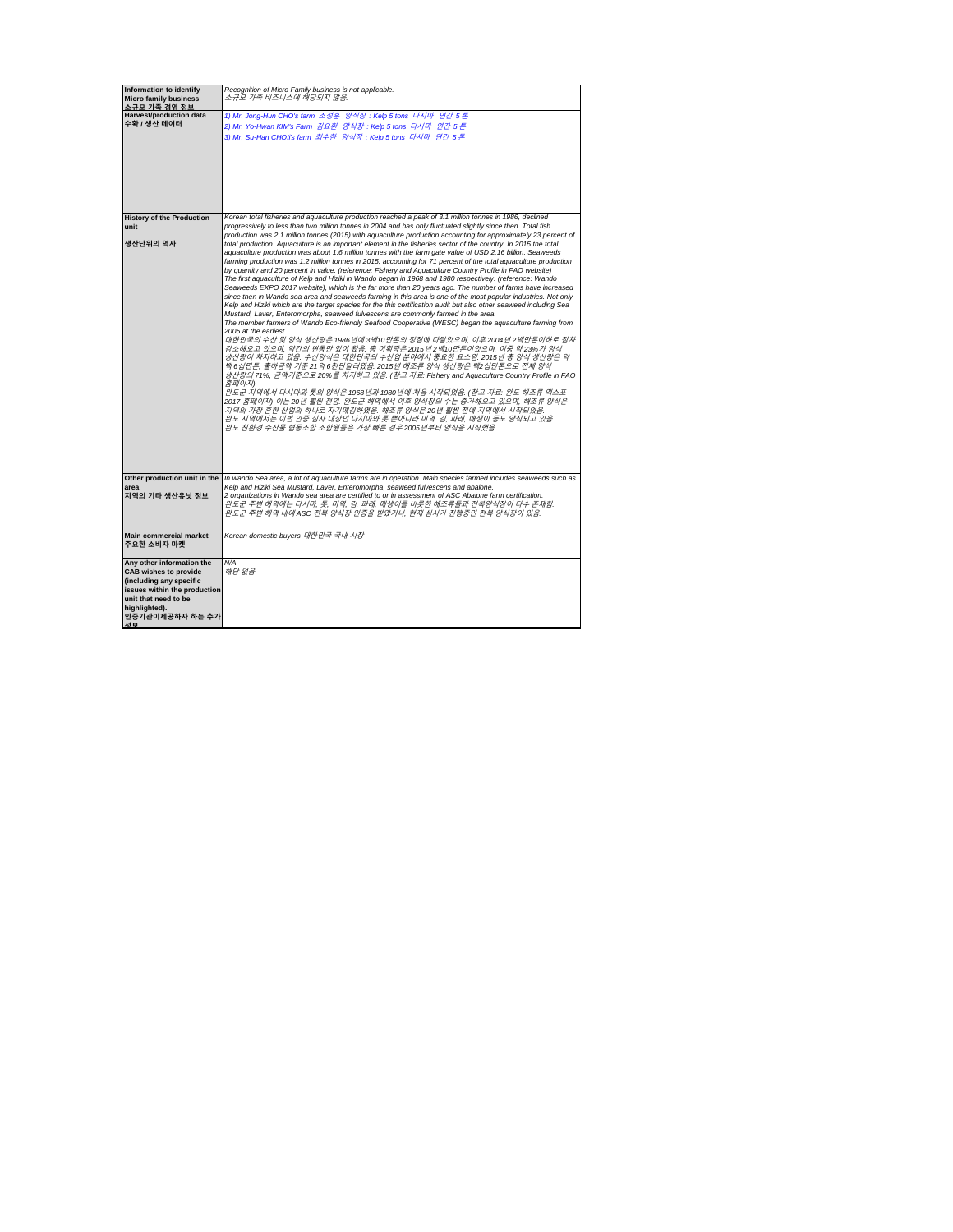| Information to identify<br><b>Micro family business</b><br>소규모 가족 경영 정보                                                                                                                | Recognition of Micro Family business is not applicable.<br>소규모 가족 비즈니스에 해당되지 않음.                                                                                                                                                                                                                                                                                                                                                                                                                                                                                                                                                                                                                                                                                                                                                                                                                                                                                                                                                                                                                                                                                                                                                                                                                                                                                                                                                                                                                                                                                                                                                                                                                                                                                                                                                                      |
|----------------------------------------------------------------------------------------------------------------------------------------------------------------------------------------|-------------------------------------------------------------------------------------------------------------------------------------------------------------------------------------------------------------------------------------------------------------------------------------------------------------------------------------------------------------------------------------------------------------------------------------------------------------------------------------------------------------------------------------------------------------------------------------------------------------------------------------------------------------------------------------------------------------------------------------------------------------------------------------------------------------------------------------------------------------------------------------------------------------------------------------------------------------------------------------------------------------------------------------------------------------------------------------------------------------------------------------------------------------------------------------------------------------------------------------------------------------------------------------------------------------------------------------------------------------------------------------------------------------------------------------------------------------------------------------------------------------------------------------------------------------------------------------------------------------------------------------------------------------------------------------------------------------------------------------------------------------------------------------------------------------------------------------------------------|
| <b>Harvest/production data</b><br>수확 / 생산 데이터                                                                                                                                          | 1) Mr. Jong-Hun CHO's farm 조정훈 양식장 : Kelp 5 tons 다시마 연간 5톤<br>2) Mr. Yo-Hwan KIM's Farm 김요환 양식장 : Kelp 5 tons 다시마 연간 5톤<br>3) Mr. Su-Han CHOli's farm 최수한 양식장 : Kelp 5 tons 다시마 연간 5톤                                                                                                                                                                                                                                                                                                                                                                                                                                                                                                                                                                                                                                                                                                                                                                                                                                                                                                                                                                                                                                                                                                                                                                                                                                                                                                                                                                                                                                                                                                                                                                                                                                                                 |
|                                                                                                                                                                                        |                                                                                                                                                                                                                                                                                                                                                                                                                                                                                                                                                                                                                                                                                                                                                                                                                                                                                                                                                                                                                                                                                                                                                                                                                                                                                                                                                                                                                                                                                                                                                                                                                                                                                                                                                                                                                                                       |
| <b>History of the Production</b><br>unit                                                                                                                                               | Korean total fisheries and aquaculture production reached a peak of 3.1 million tonnes in 1986, declined<br>progressively to less than two million tonnes in 2004 and has only fluctuated slightly since then. Total fish<br>production was 2.1 million tonnes (2015) with aquaculture production accounting for approximately 23 percent of                                                                                                                                                                                                                                                                                                                                                                                                                                                                                                                                                                                                                                                                                                                                                                                                                                                                                                                                                                                                                                                                                                                                                                                                                                                                                                                                                                                                                                                                                                          |
| 생산단위의 역사                                                                                                                                                                               | total production. Aquaculture is an important element in the fisheries sector of the country. In 2015 the total<br>aquaculture production was about 1.6 million tonnes with the farm gate value of USD 2.16 billion. Seaweeds<br>farming production was 1.2 million tonnes in 2015, accounting for 71 percent of the total aquaculture production<br>by quantity and 20 percent in value. (reference: Fishery and Aquaculture Country Profile in FAO website)<br>The first aquaculture of Kelp and Hiziki in Wando began in 1968 and 1980 respectively. (reference: Wando<br>Seaweeds EXPO 2017 website), which is the far more than 20 years ago. The number of farms have increased<br>since then in Wando sea area and seaweeds farming in this area is one of the most popular industries. Not only<br>Kelp and Hiziki which are the target species for the this certification audit but also other seaweed including Sea<br>Mustard, Laver, Enteromorpha, seaweed fulvescens are commonly farmed in the area.<br>The member farmers of Wando Eco-friendly Seafood Cooperative (WESC) began the aquaculture farming from<br>2005 at the earliest.<br>대한민국의 수산 및 양식 생산량은 1986년에 3백10만톤의 정점에 다달았으며, 이후 2004년 2백만톤이하로 점차<br>감소해오고 있으며, 약간의 변동만 있어 왔음, 총 어획량은 2015년 2백10만톤이었으며, 이중 약 23%가 양식<br>생산량이 차지하고 있음. 수산양식은 대한민국의 수산업 분야에서 중요한 요소임. 2015년 총 양식 생산량은 약<br>백 6십만톤, 출하금액 기준 21억 6천만달러였음. 2015년 해조류 양식 생산량은 백2십만톤으로 전체 양식<br>생산량의 71%, 금액기준으로 20%를 차지하고 있음. (참고 자료: Fishery and Aquaculture Country Profile in FAO<br>혹페이지)<br>완도군 지역에서 다시마와 톳의 양식은 1968년과 1980년에 처음 시작되었음. (참고 자료: 완도 해조류 엑스포<br>2017 홈페이지) 이는 20년 훨씬 전임. 완도군 해역에서 이후 양식장의 수는 증가해오고 있으며, 해조류 양식은<br>지역의 가장 흔한 산업의 하나로 자기매김하였음. 해조류 양식은 20년 훨씬 전에 지역에서 시작되었음.<br>완도 지역에서는 이번 인증 심사 대상인 다시마와 톳 뿐아니라 미역, 김, 파래, 매생이 등도 양식되고 있음.<br>완도 친환경 수산물 협동조합 조합원들은 가장 빠른 경우 2005년부터 양식을 시작했음. |
| Other production unit in the<br>area<br>지역의 기타 생산유닛 정보                                                                                                                                 | In wando Sea area, a lot of aquaculture farms are in operation. Main species farmed includes seaweeds such as<br>Kelp and Hiziki Sea Mustard, Laver, Enteromorpha, seaweed fulvescens and abalone.<br>2 organizations in Wando sea area are certified to or in assessment of ASC Abalone farm certification.<br>완도군 주변 해역에는 다시마, 톳, 미역, 김, 파래, 매생이를 비롯한 해조류들과 전복양식장이 다수 존재함.<br>완도군 주변 해역 내에 ASC 전복 양식장 인증을 받았거나. 현재 심사가 진행중인 전복 양식장이 있음.                                                                                                                                                                                                                                                                                                                                                                                                                                                                                                                                                                                                                                                                                                                                                                                                                                                                                                                                                                                                                                                                                                                                                                                                                                                                                                                                                                                                             |
| <b>Main commercial market</b><br>주요한 소비자 마켓                                                                                                                                            | Korean domestic buyers 대한민국 국내 시장                                                                                                                                                                                                                                                                                                                                                                                                                                                                                                                                                                                                                                                                                                                                                                                                                                                                                                                                                                                                                                                                                                                                                                                                                                                                                                                                                                                                                                                                                                                                                                                                                                                                                                                                                                                                                     |
| Any other information the<br><b>CAB wishes to provide</b><br>(including any specific<br>issues within the production<br>unit that need to be<br>highlighted).<br>인증기관이제공하자 하는 추가<br>저보 | N/A<br>해당 없음                                                                                                                                                                                                                                                                                                                                                                                                                                                                                                                                                                                                                                                                                                                                                                                                                                                                                                                                                                                                                                                                                                                                                                                                                                                                                                                                                                                                                                                                                                                                                                                                                                                                                                                                                                                                                                          |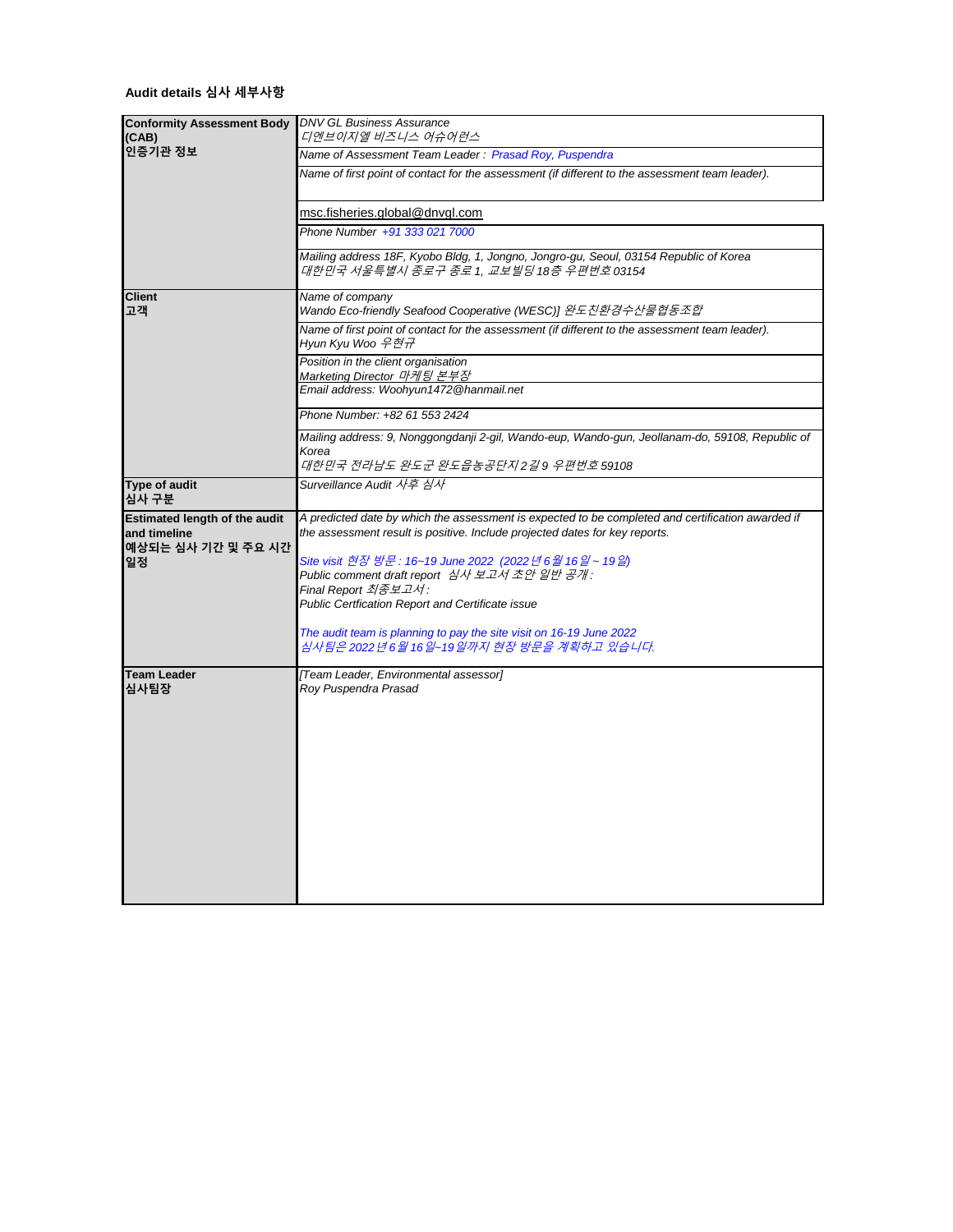# **Audit details 심사 세부사항**

| <b>Conformity Assessment Body</b>    | <b>DNV GL Business Assurance</b>                                                                                                  |  |  |  |  |
|--------------------------------------|-----------------------------------------------------------------------------------------------------------------------------------|--|--|--|--|
| (CAB)<br>인증기관 정보                     | 디엔브이지엘 비즈니스 어슈어런스<br>Name of Assessment Team Leader: Prasad Roy, Puspendra                                                        |  |  |  |  |
|                                      |                                                                                                                                   |  |  |  |  |
|                                      | Name of first point of contact for the assessment (if different to the assessment team leader).                                   |  |  |  |  |
|                                      |                                                                                                                                   |  |  |  |  |
|                                      | msc.fisheries.global@dnvgl.com                                                                                                    |  |  |  |  |
|                                      | Phone Number +91 333 021 7000                                                                                                     |  |  |  |  |
|                                      | Mailing address 18F, Kyobo Bldg, 1, Jongno, Jongro-gu, Seoul, 03154 Republic of Korea<br>대한민국 서울특별시 종로구 종로 1, 교보빌딩 18층 우편번호 03154 |  |  |  |  |
| <b>Client</b><br>고객                  | Name of company<br>Wando Eco-friendly Seafood Cooperative (WESC)] 완도친환경수산물협동조합                                                    |  |  |  |  |
|                                      | Name of first point of contact for the assessment (if different to the assessment team leader).<br>Hyun Kyu Woo 우현규               |  |  |  |  |
|                                      | Position in the client organisation<br>Marketing Director 마케팅 본부장                                                                 |  |  |  |  |
|                                      | Email address: Woohyun1472@hanmail.net                                                                                            |  |  |  |  |
|                                      | Phone Number: +82 61 553 2424                                                                                                     |  |  |  |  |
|                                      | Mailing address: 9, Nonggongdanji 2-gil, Wando-eup, Wando-gun, Jeollanam-do, 59108, Republic of                                   |  |  |  |  |
|                                      | Korea<br>대한민국 전라남도 완도군 완도읍농공단지 2길 9 우편번호 59108                                                                                    |  |  |  |  |
|                                      |                                                                                                                                   |  |  |  |  |
| <b>Type of audit</b><br>┃심사 구분       | Surveillance Audit 사후 심사                                                                                                          |  |  |  |  |
| <b>Estimated length of the audit</b> | A predicted date by which the assessment is expected to be completed and certification awarded if                                 |  |  |  |  |
|                                      |                                                                                                                                   |  |  |  |  |
| and timeline                         | the assessment result is positive. Include projected dates for key reports.                                                       |  |  |  |  |
| 예상되는 심사 기간 및 주요 시간                   |                                                                                                                                   |  |  |  |  |
| l일정                                  | Site visit 현장 방문 : 16~19 June 2022  (2022년 6월 16일 ~ 19일)                                                                          |  |  |  |  |
|                                      | Public comment draft report 심사 보고서 초안 일반 공개 :<br>Final Report 최종보고서 :                                                             |  |  |  |  |
|                                      | Public Certfication Report and Certificate issue                                                                                  |  |  |  |  |
|                                      |                                                                                                                                   |  |  |  |  |
|                                      | The audit team is planning to pay the site visit on 16-19 June 2022<br>심사팀은 2022년 6월 16일~19일까지 현장 방문을 계획하고 있습니다.                  |  |  |  |  |
| <b>Team Leader</b>                   | [Team Leader, Environmental assessor]                                                                                             |  |  |  |  |
| 심사팀장                                 | Roy Puspendra Prasad                                                                                                              |  |  |  |  |
|                                      |                                                                                                                                   |  |  |  |  |
|                                      |                                                                                                                                   |  |  |  |  |
|                                      |                                                                                                                                   |  |  |  |  |
|                                      |                                                                                                                                   |  |  |  |  |
|                                      |                                                                                                                                   |  |  |  |  |
|                                      |                                                                                                                                   |  |  |  |  |
|                                      |                                                                                                                                   |  |  |  |  |
|                                      |                                                                                                                                   |  |  |  |  |
|                                      |                                                                                                                                   |  |  |  |  |
|                                      |                                                                                                                                   |  |  |  |  |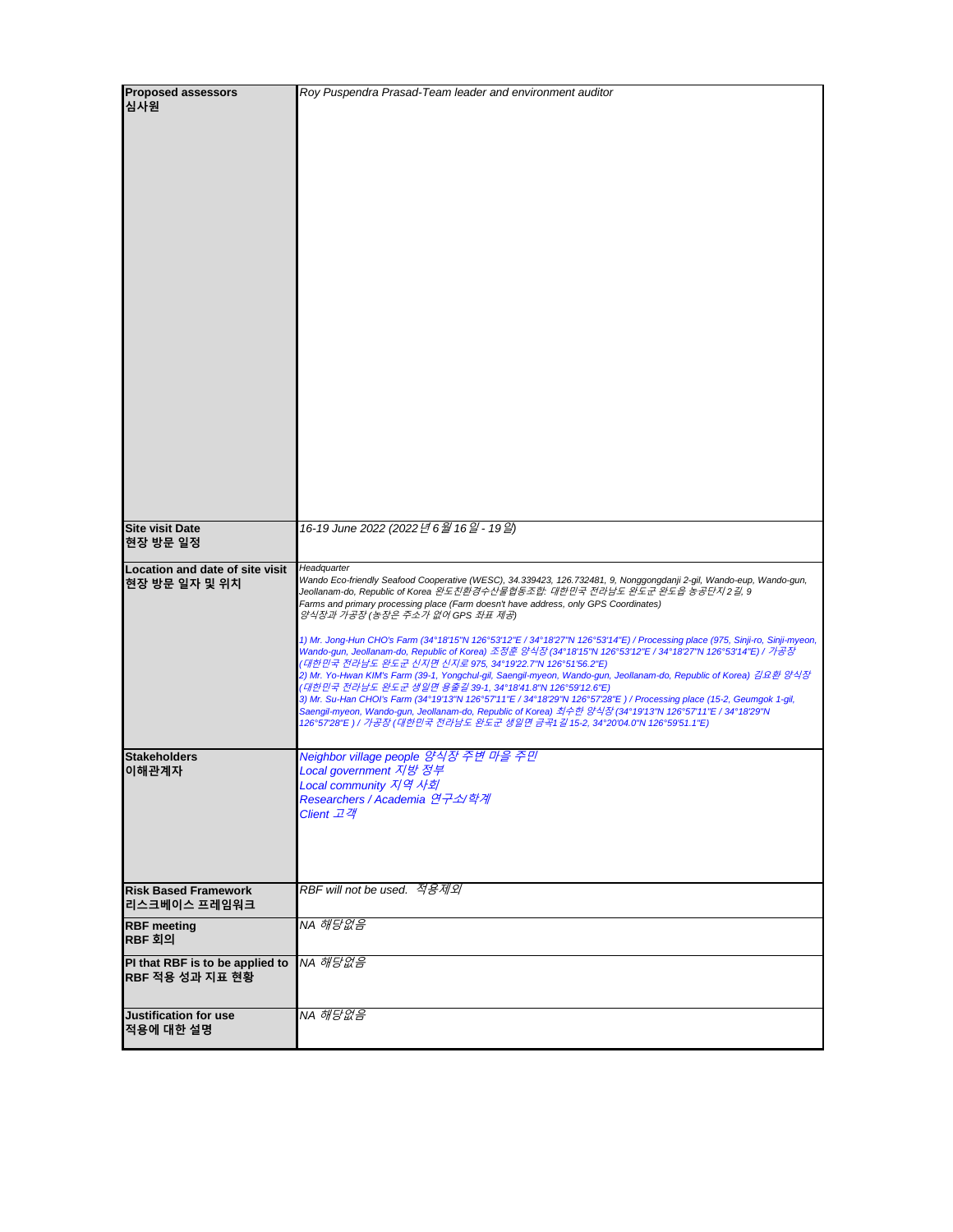| <b>Proposed assessors</b><br>심사원                                                                                                                     | Roy Puspendra Prasad-Team leader and environment auditor                                                                                                                                                                                                                                                                                                                                                                                                                                                                                                                                                                                                                                                                                                                                                                                                                                                                                                                                                                                                                                                                                   |
|------------------------------------------------------------------------------------------------------------------------------------------------------|--------------------------------------------------------------------------------------------------------------------------------------------------------------------------------------------------------------------------------------------------------------------------------------------------------------------------------------------------------------------------------------------------------------------------------------------------------------------------------------------------------------------------------------------------------------------------------------------------------------------------------------------------------------------------------------------------------------------------------------------------------------------------------------------------------------------------------------------------------------------------------------------------------------------------------------------------------------------------------------------------------------------------------------------------------------------------------------------------------------------------------------------|
|                                                                                                                                                      |                                                                                                                                                                                                                                                                                                                                                                                                                                                                                                                                                                                                                                                                                                                                                                                                                                                                                                                                                                                                                                                                                                                                            |
| <b>Site visit Date</b>                                                                                                                               | 16-19 June 2022 (2022년 6월 16일 - 19일)                                                                                                                                                                                                                                                                                                                                                                                                                                                                                                                                                                                                                                                                                                                                                                                                                                                                                                                                                                                                                                                                                                       |
| 현장 방문 일정                                                                                                                                             |                                                                                                                                                                                                                                                                                                                                                                                                                                                                                                                                                                                                                                                                                                                                                                                                                                                                                                                                                                                                                                                                                                                                            |
|                                                                                                                                                      |                                                                                                                                                                                                                                                                                                                                                                                                                                                                                                                                                                                                                                                                                                                                                                                                                                                                                                                                                                                                                                                                                                                                            |
|                                                                                                                                                      | Headquarter                                                                                                                                                                                                                                                                                                                                                                                                                                                                                                                                                                                                                                                                                                                                                                                                                                                                                                                                                                                                                                                                                                                                |
| 한장 방문 일자 및 위치                                                                                                                                        | Wando Eco-friendly Seafood Cooperative (WESC), 34.339423, 126.732481, 9, Nonggongdanji 2-gil, Wando-eup, Wando-gun,<br>Jeollanam-do, Republic of Korea 완도친환경수산물협동조합: 대한민국 전라남도 완도군 완도읍 농공단지 2길, 9<br>Farms and primary processing place (Farm doesn't have address, only GPS Coordinates)<br>양식장과 가공장 (농장은 주소가 없어 GPS 좌표 제공)<br>1) Mr. Jong-Hun CHO's Farm (34°18'15"N 126°53'12"E / 34°18'27"N 126°53'14"E) / Processing place (975, Sinji-ro, Sinji-myeon,<br>Wando-gun, Jeollanam-do, Republic of Korea) 조정훈 양식장 (34°18'15"N 126°53'12"E / 34°18'27"N 126°53'14"E) / 가공장<br>(대한민국 전라남도 완도군 신지면 신지로 975, 34°19'22.7"N 126°51'56.2"E)<br>2) Mr. Yo-Hwan KIM's Farm (39-1, Yongchul-gil, Saengil-myeon, Wando-gun, Jeollanam-do, Republic of Korea) 김요환 양식장<br>(대한민국 전라남도 완도군 생일면 용출길 39-1, 34°18'41.8"N 126°59'12.6"E)<br>3) Mr. Su-Han CHOI's Farm (34°19'13"N 126°57'11"E / 34°18'29"N 126°57'28"E) / Processing place (15-2, Geumgok 1-gil,<br>Saengil-myeon, Wando-gun, Jeollanam-do, Republic of Korea) 최수한 양식장 (34°19'13"N 126°57'11"E / 34°18'29"N<br>126°57'28"E) / 가공장 (대한민국 전라남도 완도군 생일면 금곡1길 15-2, 34°20'04.0"N 126°59'51.1"E) |
| <b>Stakeholders</b>                                                                                                                                  | Neighbor village people 양식장 주변 마을 주민                                                                                                                                                                                                                                                                                                                                                                                                                                                                                                                                                                                                                                                                                                                                                                                                                                                                                                                                                                                                                                                                                                       |
|                                                                                                                                                      | Local government 지방 정부                                                                                                                                                                                                                                                                                                                                                                                                                                                                                                                                                                                                                                                                                                                                                                                                                                                                                                                                                                                                                                                                                                                     |
|                                                                                                                                                      | Local community 지역 사회                                                                                                                                                                                                                                                                                                                                                                                                                                                                                                                                                                                                                                                                                                                                                                                                                                                                                                                                                                                                                                                                                                                      |
|                                                                                                                                                      | Researchers / Academia 연구소/학계                                                                                                                                                                                                                                                                                                                                                                                                                                                                                                                                                                                                                                                                                                                                                                                                                                                                                                                                                                                                                                                                                                              |
|                                                                                                                                                      | Client 고객                                                                                                                                                                                                                                                                                                                                                                                                                                                                                                                                                                                                                                                                                                                                                                                                                                                                                                                                                                                                                                                                                                                                  |
| 이해관계자                                                                                                                                                |                                                                                                                                                                                                                                                                                                                                                                                                                                                                                                                                                                                                                                                                                                                                                                                                                                                                                                                                                                                                                                                                                                                                            |
| <b>리스크베이스 프레임워크</b>                                                                                                                                  | RBF will not be used. 적용제외                                                                                                                                                                                                                                                                                                                                                                                                                                                                                                                                                                                                                                                                                                                                                                                                                                                                                                                                                                                                                                                                                                                 |
|                                                                                                                                                      | NA 해당없음                                                                                                                                                                                                                                                                                                                                                                                                                                                                                                                                                                                                                                                                                                                                                                                                                                                                                                                                                                                                                                                                                                                                    |
|                                                                                                                                                      |                                                                                                                                                                                                                                                                                                                                                                                                                                                                                                                                                                                                                                                                                                                                                                                                                                                                                                                                                                                                                                                                                                                                            |
| Location and date of site visit<br><b>Risk Based Framework</b><br><b>RBF</b> meeting<br>RBF 회의<br>PI that RBF is to be applied to<br>RBF 적용 성과 지표 현황 | NA 해당없음                                                                                                                                                                                                                                                                                                                                                                                                                                                                                                                                                                                                                                                                                                                                                                                                                                                                                                                                                                                                                                                                                                                                    |
| Justification for use                                                                                                                                | NA 해당없음                                                                                                                                                                                                                                                                                                                                                                                                                                                                                                                                                                                                                                                                                                                                                                                                                                                                                                                                                                                                                                                                                                                                    |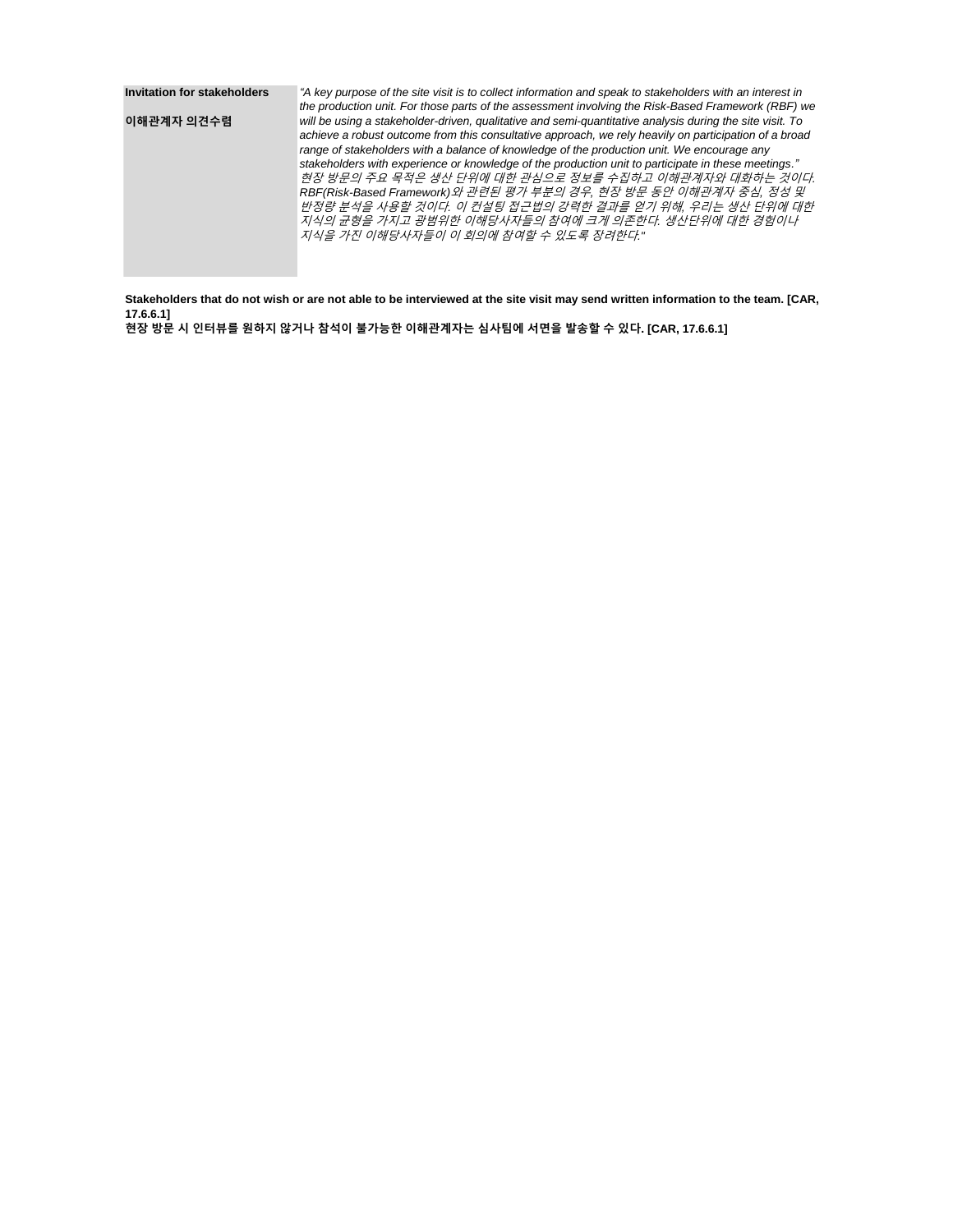#### **Invitation for stakeholders**

### **이해관계자 의견수렴**

*"A key purpose of the site visit is to collect information and speak to stakeholders with an interest in the production unit. For those parts of the assessment involving the Risk-Based Framework (RBF) we will be using a stakeholder-driven, qualitative and semi-quantitative analysis during the site visit. To achieve a robust outcome from this consultative approach, we rely heavily on participation of a broad range of stakeholders with a balance of knowledge of the production unit. We encourage any stakeholders with experience or knowledge of the production unit to participate in these meetings."* 현장 방문의 주요 목적은 생산 단위에 대한 관심으로 정보를 수집하고 이해관계자와 대화하는 것이다*. RBF(Risk-Based Framework)*와 관련된 평가 부분의 경우*,* 현장 방문 동안 이해관계자 중심*,* 정성 및 반정량 분석을 사용할 것이다*.* 이 컨설팅 접근법의 강력한 결과를 얻기 위해*,* 우리는 생산 단위에 대한 지식의 균형을 가지고 광범위한 이해당사자들의 참여에 크게 의존한다*.* 생산단위에 대한 경험이나 지식을 가진 이해당사자들이 이 회의에 참여할 수 있도록 장려한다*."*

**Stakeholders that do not wish or are not able to be interviewed at the site visit may send written information to the team. [CAR, 17.6.6.1]**

**현장 방문 시 인터뷰를 원하지 않거나 참석이 불가능한 이해관계자는 심사팀에 서면을 발송할 수 있다. [CAR, 17.6.6.1]**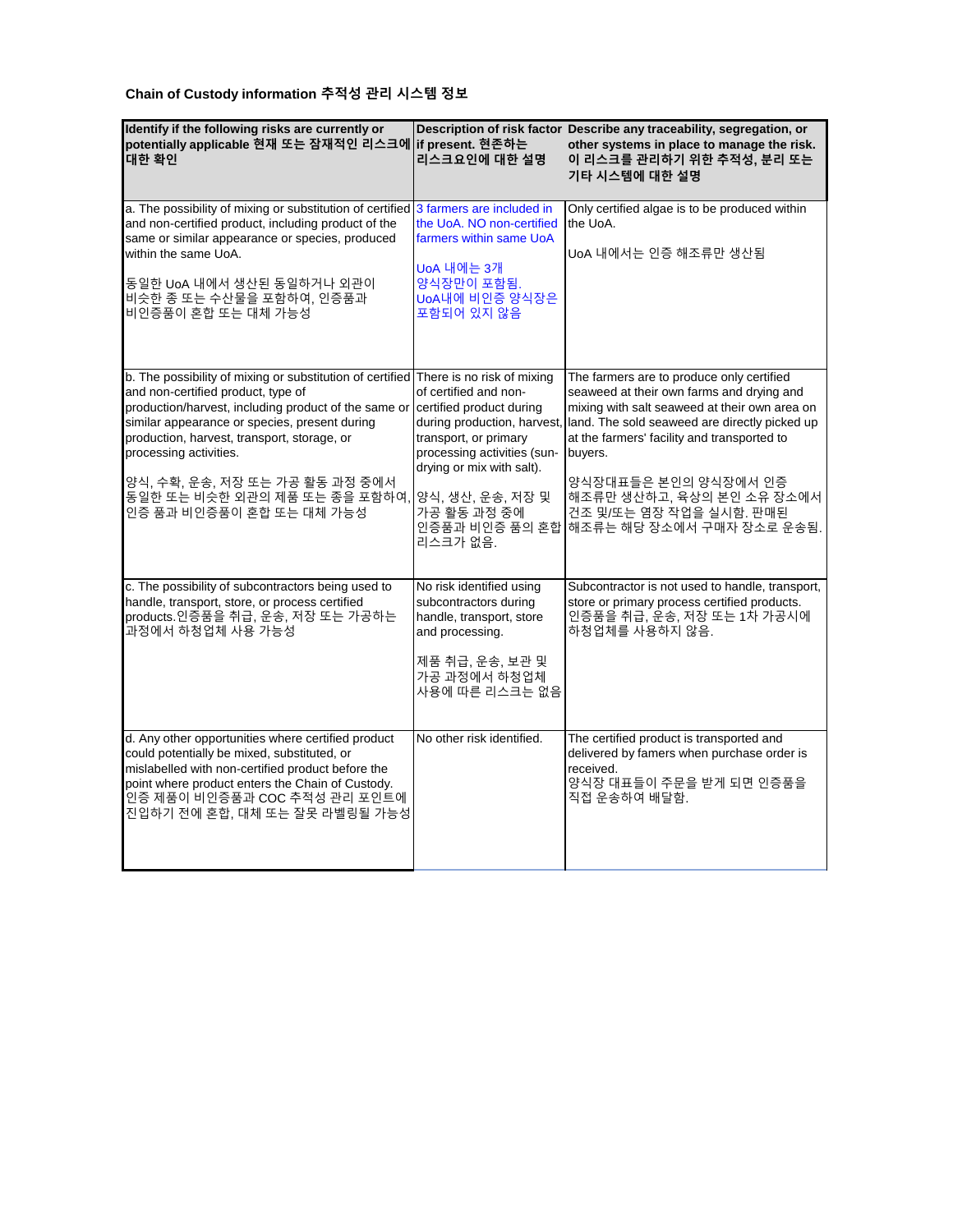| Identify if the following risks are currently or<br>potentially applicable 현재 또는 잠재적인 리스크에 if present. 현존하는<br>대한 확인                                                                                                                                                                                                                                                                                                                 | 리스크요인에 대한 설명                                                                                                                                              | Description of risk factor Describe any traceability, segregation, or<br>other systems in place to manage the risk.<br>이 리스크를 관리하기 위한 추적성, 분리 또는<br>기타 시스템에 대한 설명                                                                                                                                                                                                                                           |
|--------------------------------------------------------------------------------------------------------------------------------------------------------------------------------------------------------------------------------------------------------------------------------------------------------------------------------------------------------------------------------------------------------------------------------------|-----------------------------------------------------------------------------------------------------------------------------------------------------------|-------------------------------------------------------------------------------------------------------------------------------------------------------------------------------------------------------------------------------------------------------------------------------------------------------------------------------------------------------------------------------------------------------------|
| a. The possibility of mixing or substitution of certified 3 farmers are included in<br>and non-certified product, including product of the<br>same or similar appearance or species, produced<br>within the same UoA.<br>동일한 UoA 내에서 생산된 동일하거나 외관이<br>비슷한 종 또는 수산물을 포함하여, 인증품과<br>비인증품이 혼합 또는 대체 가능성                                                                                                                                 | the UoA. NO non-certified<br>farmers within same UoA<br><b>UoA 내에는 3개</b><br>양식장만이 포함됨.<br>UoA내에 비인증 양식장은<br>포함되어 있지 않음                                   | Only certified algae is to be produced within<br>the UoA.<br>UoA 내에서는 인증 해조류만 생산됨                                                                                                                                                                                                                                                                                                                           |
| b. The possibility of mixing or substitution of certified There is no risk of mixing<br>and non-certified product, type of<br>production/harvest, including product of the same or certified product during<br>similar appearance or species, present during<br>production, harvest, transport, storage, or<br>processing activities.<br>양식, 수확, 운송, 저장 또는 가공 활동 과정 중에서<br>동일한 또는 비슷한 외관의 제품 또는 종을 포함하여,<br>인증 품과 비인증품이 혼합 또는 대체 가능성 | of certified and non-<br>transport, or primary<br>processing activities (sun-<br>drying or mix with salt).<br>양식, 생산, 운송, 저장 및<br>가공 활동 과정 중에<br>리스크가 없음. | The farmers are to produce only certified<br>seaweed at their own farms and drying and<br>mixing with salt seaweed at their own area on<br>during production, harvest, lland. The sold seaweed are directly picked up<br>at the farmers' facility and transported to<br>buyers.<br>양식장대표들은 본인의 양식장에서 인증<br>해조류만 생산하고, 육상의 본인 소유 장소에서<br>건조 및/또는 염장 작업을 실시함. 판매된<br>인증품과 비인증 품의 혼합 해조류는 해당 장소에서 구매자 장소로 운송됨. |
| c. The possibility of subcontractors being used to<br>handle, transport, store, or process certified<br>products. 인증품을 취급, 운송, 저장 또는 가공하는<br>과정에서 하청업체 사용 가능성                                                                                                                                                                                                                                                                        | No risk identified using<br>subcontractors during<br>handle, transport, store<br>and processing.<br>제품 취급, 운송, 보관 및<br>가공 과정에서 하청업체<br>사용에 따른 리스크는 없음     | Subcontractor is not used to handle, transport,<br>store or primary process certified products.<br>인증품을 취급, 운송, 저장 또는 1차 가공시에<br>하청업체를 사용하지 않음.                                                                                                                                                                                                                                                             |
| d. Any other opportunities where certified product<br>could potentially be mixed, substituted, or<br>mislabelled with non-certified product before the<br>point where product enters the Chain of Custody.<br>인증 제품이 비인증품과 COC 추적성 관리 포인트에<br>진입하기 전에 혼합, 대체 또는 잘못 라벨링될 가능성                                                                                                                                                          | No other risk identified.                                                                                                                                 | The certified product is transported and<br>delivered by famers when purchase order is<br>received.<br>양식장 대표들이 주문을 받게 되면 인증품을<br>직접 운송하여 배달함.                                                                                                                                                                                                                                                              |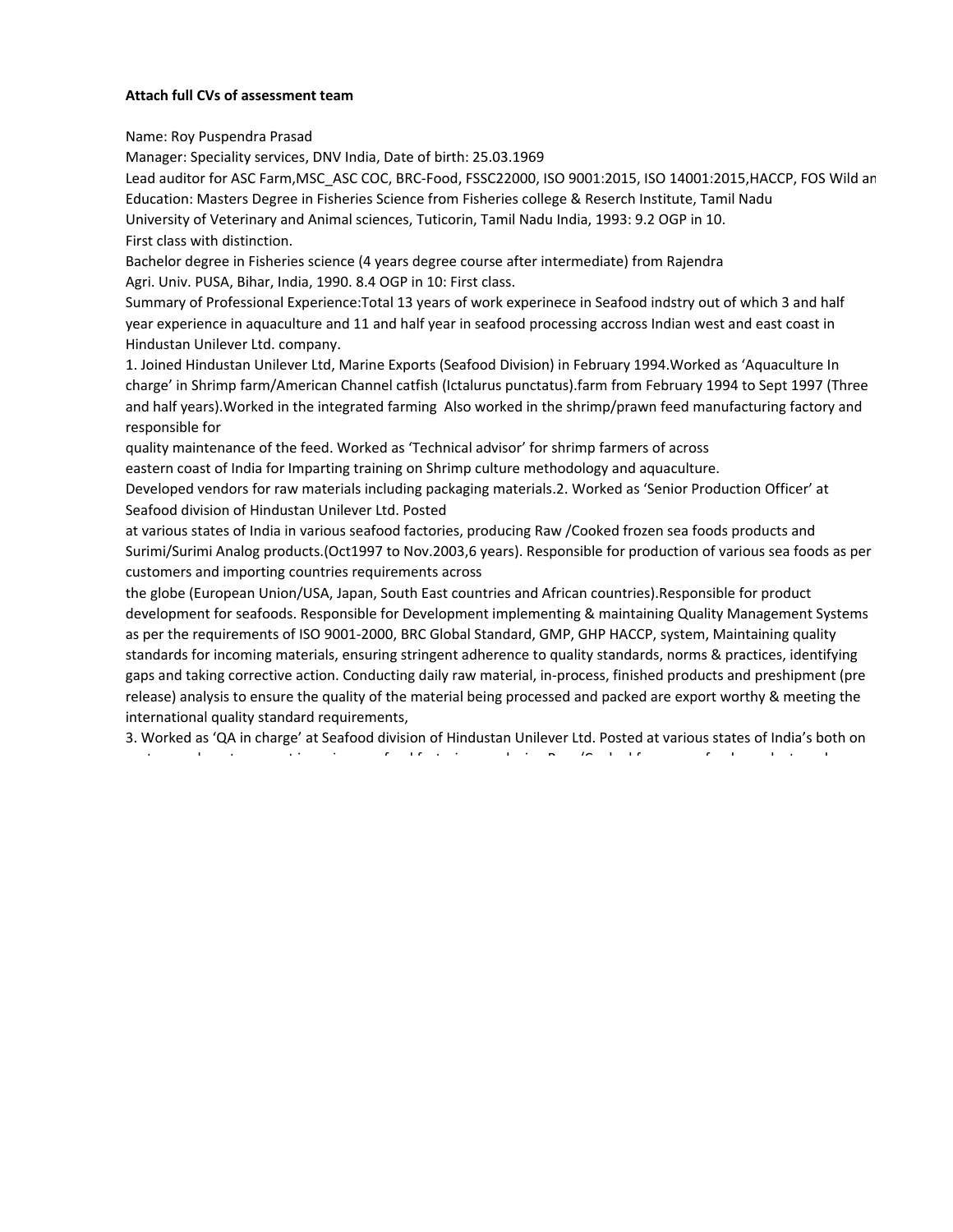## **Attach full CVs of assessment team**

Name: Roy Puspendra Prasad

Manager: Speciality services, DNV India, Date of birth: 25.03.1969

Lead auditor for ASC Farm,MSC\_ASC COC, BRC-Food, FSSC22000, ISO 9001:2015, ISO 14001:2015,HACCP, FOS Wild an Education: Masters Degree in Fisheries Science from Fisheries college & Reserch Institute, Tamil Nadu University of Veterinary and Animal sciences, Tuticorin, Tamil Nadu India, 1993: 9.2 OGP in 10.

First class with distinction.

Bachelor degree in Fisheries science (4 years degree course after intermediate) from Rajendra Agri. Univ. PUSA, Bihar, India, 1990. 8.4 OGP in 10: First class.

Summary of Professional Experience:Total 13 years of work experinece in Seafood indstry out of which 3 and half year experience in aquaculture and 11 and half year in seafood processing accross Indian west and east coast in Hindustan Unilever Ltd. company.

1. Joined Hindustan Unilever Ltd, Marine Exports (Seafood Division) in February 1994.Worked as 'Aquaculture In charge' in Shrimp farm/American Channel catfish (Ictalurus punctatus).farm from February 1994 to Sept 1997 (Three and half years).Worked in the integrated farming Also worked in the shrimp/prawn feed manufacturing factory and responsible for

quality maintenance of the feed. Worked as 'Technical advisor' for shrimp farmers of across eastern coast of India for Imparting training on Shrimp culture methodology and aquaculture.

Developed vendors for raw materials including packaging materials.2. Worked as 'Senior Production Officer' at Seafood division of Hindustan Unilever Ltd. Posted

at various states of India in various seafood factories, producing Raw /Cooked frozen sea foods products and Surimi/Surimi Analog products.(Oct1997 to Nov.2003,6 years). Responsible for production of various sea foods as per customers and importing countries requirements across

the globe (European Union/USA, Japan, South East countries and African countries).Responsible for product development for seafoods. Responsible for Development implementing & maintaining Quality Management Systems as per the requirements of ISO 9001-2000, BRC Global Standard, GMP, GHP HACCP, system, Maintaining quality standards for incoming materials, ensuring stringent adherence to quality standards, norms & practices, identifying gaps and taking corrective action. Conducting daily raw material, in-process, finished products and preshipment (pre release) analysis to ensure the quality of the material being processed and packed are export worthy & meeting the international quality standard requirements,

3. Worked as 'QA in charge' at Seafood division of Hindustan Unilever Ltd. Posted at various states of India's both on eastern and western coast in various seafood factories, producing Raw /Cooked frozen sea foods products and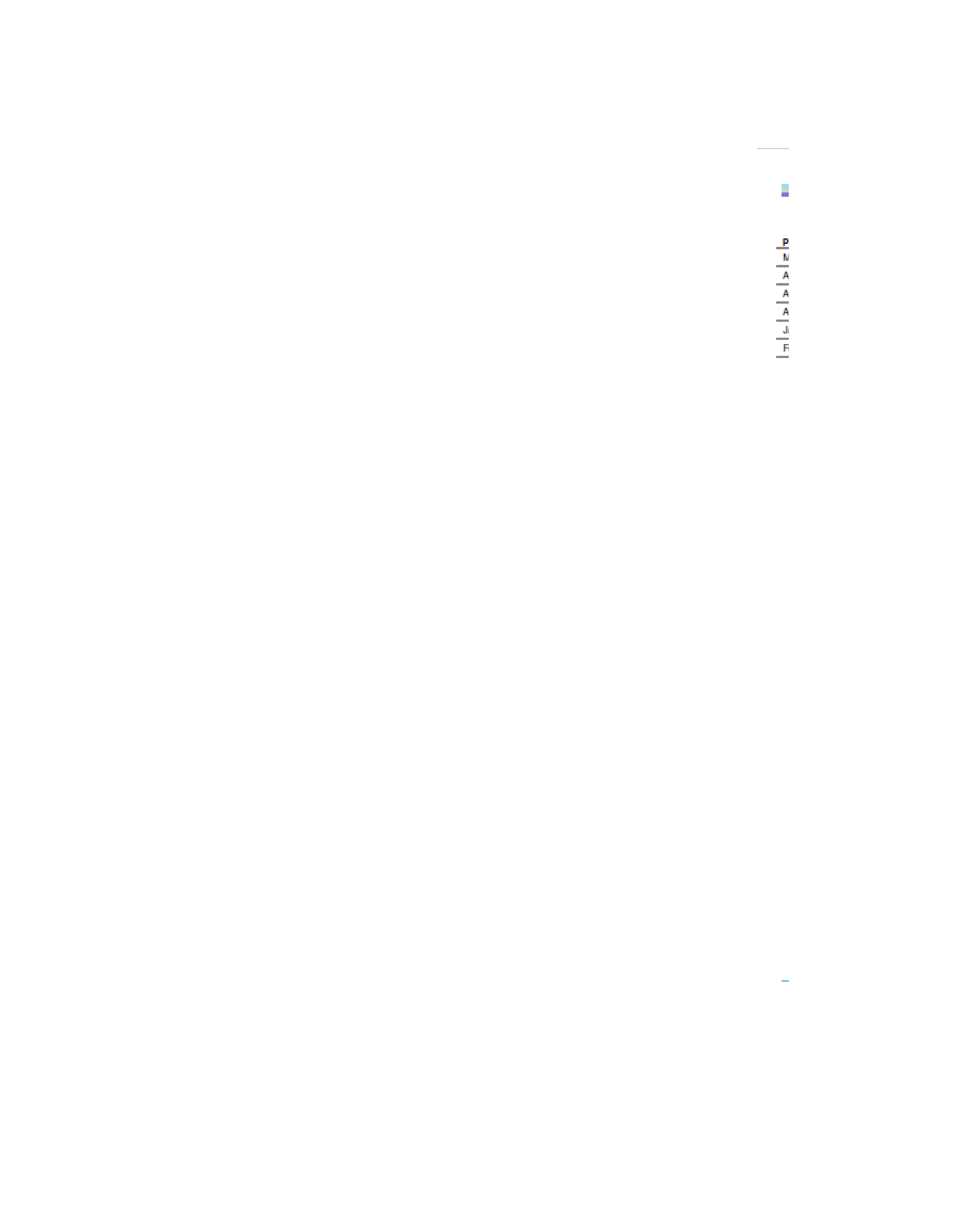ś  $\frac{p}{\frac{1}{n}} = \frac{1}{n} \left[ \frac{1}{n} \right] \frac{1}{n} = \frac{1}{n}$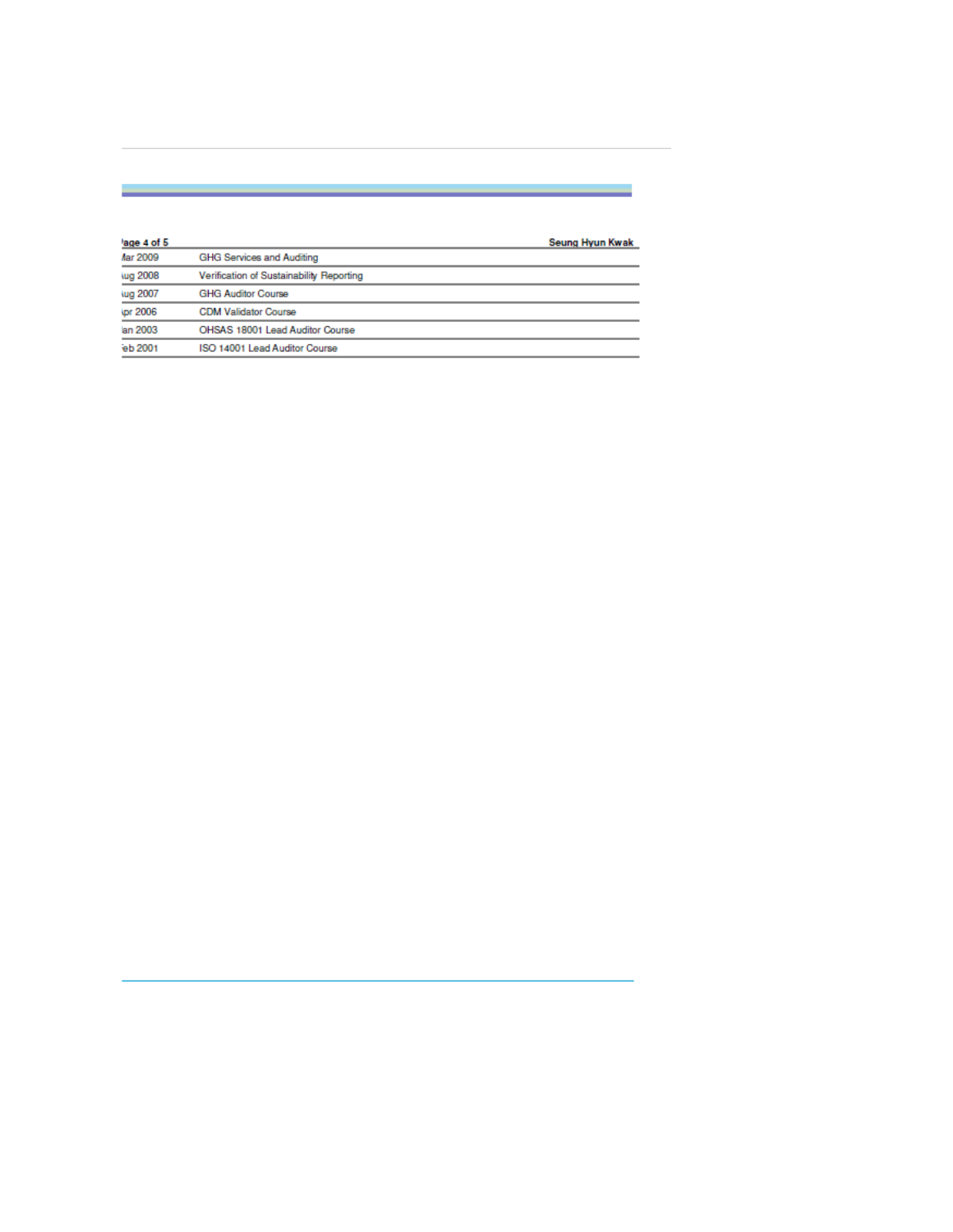|                                          | Seung Hyun Kwak |
|------------------------------------------|-----------------|
| <b>GHG Services and Auditing</b>         |                 |
| Verification of Sustainability Reporting |                 |
| <b>GHG Auditor Course</b>                |                 |
| <b>CDM Validator Course</b>              |                 |
| OHSAS 18001 Lead Auditor Course          |                 |
| ISO 14001 Lead Auditor Course            |                 |
|                                          |                 |

<u> 1989 - Johann Barn, amerikan personal (h. 1989)</u>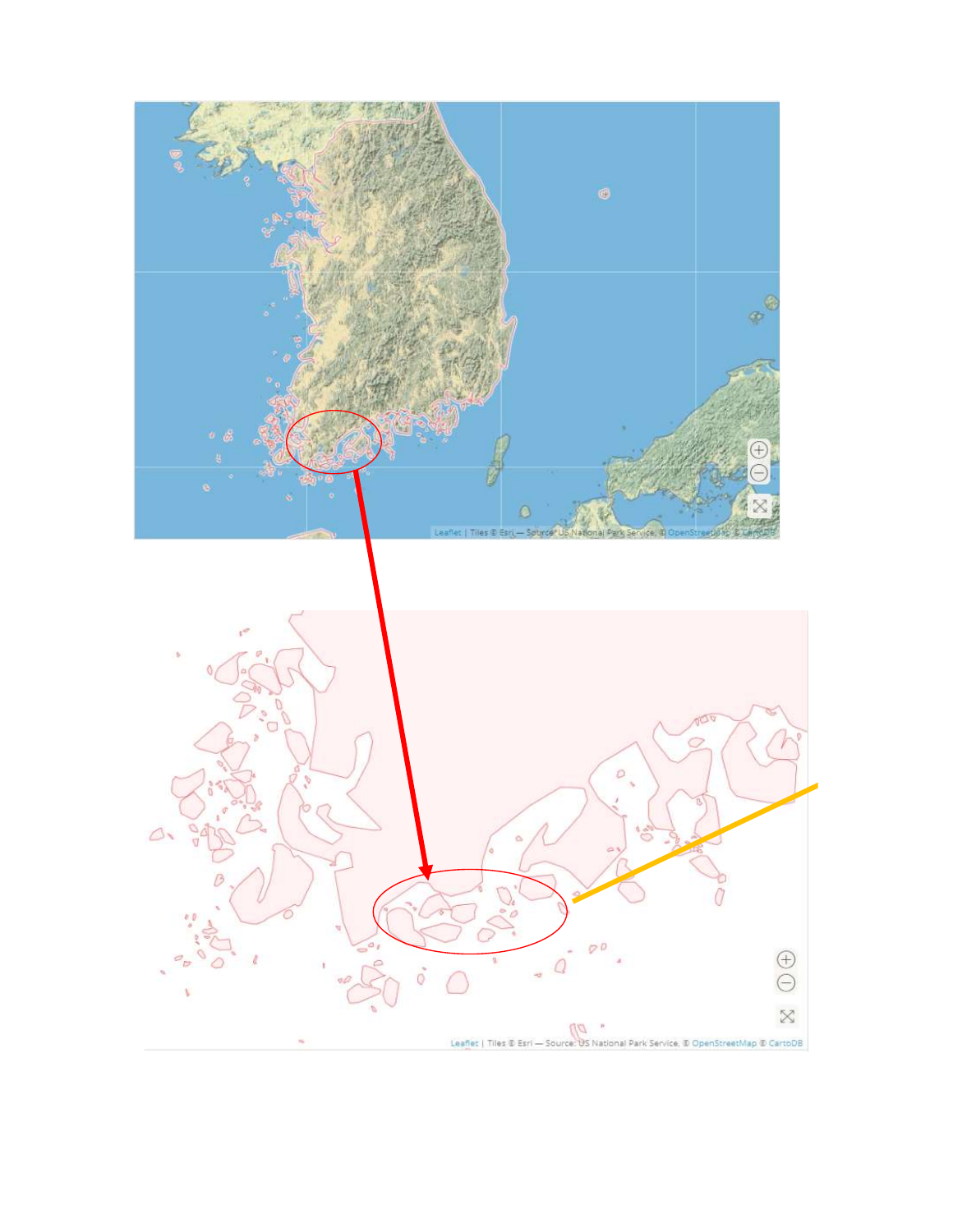